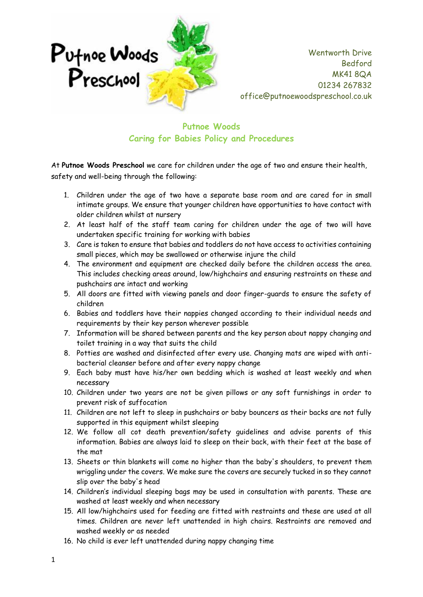

## **Putnoe Woods Caring for Babies Policy and Procedures**

At **Putnoe Woods Preschool** we care for children under the age of two and ensure their health, safety and well-being through the following:

- 1. Children under the age of two have a separate base room and are cared for in small intimate groups. We ensure that younger children have opportunities to have contact with older children whilst at nursery
- 2. At least half of the staff team caring for children under the age of two will have undertaken specific training for working with babies
- 3. Care is taken to ensure that babies and toddlers do not have access to activities containing small pieces, which may be swallowed or otherwise injure the child
- 4. The environment and equipment are checked daily before the children access the area. This includes checking areas around, low/highchairs and ensuring restraints on these and pushchairs are intact and working
- 5. All doors are fitted with viewing panels and door finger-guards to ensure the safety of children
- 6. Babies and toddlers have their nappies changed according to their individual needs and requirements by their key person wherever possible
- 7. Information will be shared between parents and the key person about nappy changing and toilet training in a way that suits the child
- 8. Potties are washed and disinfected after every use. Changing mats are wiped with antibacterial cleanser before and after every nappy change
- 9. Each baby must have his/her own bedding which is washed at least weekly and when necessary
- 10. Children under two years are not be given pillows or any soft furnishings in order to prevent risk of suffocation
- 11. Children are not left to sleep in pushchairs or baby bouncers as their backs are not fully supported in this equipment whilst sleeping
- 12. We follow all cot death prevention/safety guidelines and advise parents of this information. Babies are always laid to sleep on their back, with their feet at the base of the mat
- 13. Sheets or thin blankets will come no higher than the baby's shoulders, to prevent them wriggling under the covers. We make sure the covers are securely tucked in so they cannot slip over the baby's head
- 14. Children's individual sleeping bags may be used in consultation with parents. These are washed at least weekly and when necessary
- 15. All low/highchairs used for feeding are fitted with restraints and these are used at all times. Children are never left unattended in high chairs. Restraints are removed and washed weekly or as needed
- 16. No child is ever left unattended during nappy changing time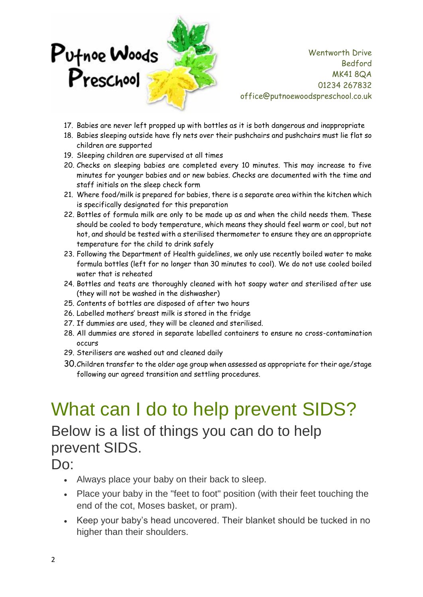

- 17. Babies are never left propped up with bottles as it is both dangerous and inappropriate
- 18. Babies sleeping outside have fly nets over their pushchairs and pushchairs must lie flat so children are supported
- 19. Sleeping children are supervised at all times
- 20. Checks on sleeping babies are completed every 10 minutes. This may increase to five minutes for younger babies and or new babies. Checks are documented with the time and staff initials on the sleep check form
- 21. Where food/milk is prepared for babies, there is a separate area within the kitchen which is specifically designated for this preparation
- 22. Bottles of formula milk are only to be made up as and when the child needs them. These should be cooled to body temperature, which means they should feel warm or cool, but not hot, and should be tested with a sterilised thermometer to ensure they are an appropriate temperature for the child to drink safely
- 23. Following the Department of Health guidelines, we only use recently boiled water to make formula bottles (left for no longer than 30 minutes to cool). We do not use cooled boiled water that is reheated
- 24. Bottles and teats are thoroughly cleaned with hot soapy water and sterilised after use (they will not be washed in the dishwasher)
- 25. Contents of bottles are disposed of after two hours
- 26. Labelled mothers' breast milk is stored in the fridge
- 27. If dummies are used, they will be cleaned and sterilised.
- 28. All dummies are stored in separate labelled containers to ensure no cross-contamination occurs
- 29. Sterilisers are washed out and cleaned daily
- 30.Children transfer to the older age group when assessed as appropriate for their age/stage following our agreed transition and settling procedures.

## What can I do to help prevent SIDS? Below is a list of things you can do to help prevent SIDS.

Do:

- Always place your baby on their back to sleep.
- Place your baby in the "feet to foot" position (with their feet touching the end of the cot, Moses basket, or pram).
- Keep your baby's head uncovered. Their blanket should be tucked in no higher than their shoulders.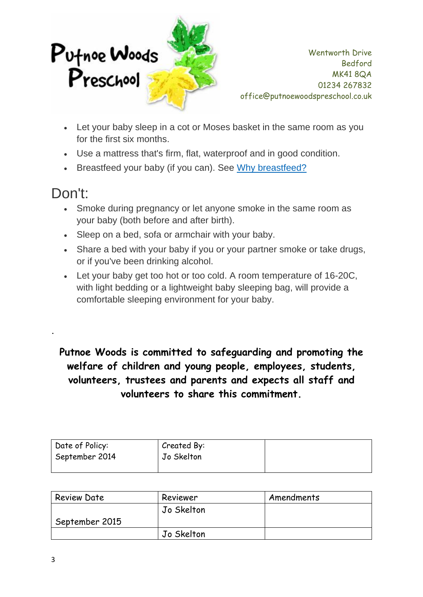

- Let your baby sleep in a cot or Moses basket in the same room as you for the first six months.
- Use a mattress that's firm, flat, waterproof and in good condition.
- Breastfeed your baby (if you can). See Why breastfeed?

## Don't:

**.**

- Smoke during pregnancy or let anyone smoke in the same room as your baby (both before and after birth).
- Sleep on a bed, sofa or armchair with your baby.
- Share a bed with your baby if you or your partner smoke or take drugs, or if you've been drinking alcohol.
- Let your baby get too hot or too cold. A room temperature of 16-20C, with light bedding or a lightweight baby sleeping bag, will provide a comfortable sleeping environment for your baby.

**Putnoe Woods is committed to safeguarding and promoting the welfare of children and young people, employees, students, volunteers, trustees and parents and expects all staff and volunteers to share this commitment.**

| Date of Policy:<br>September 2014 | Created By:<br>Jo Skelton |  |
|-----------------------------------|---------------------------|--|
|                                   |                           |  |

| <b>Review Date</b> | Reviewer   | Amendments |
|--------------------|------------|------------|
|                    | Jo Skelton |            |
| September 2015     |            |            |
|                    | Jo Skelton |            |